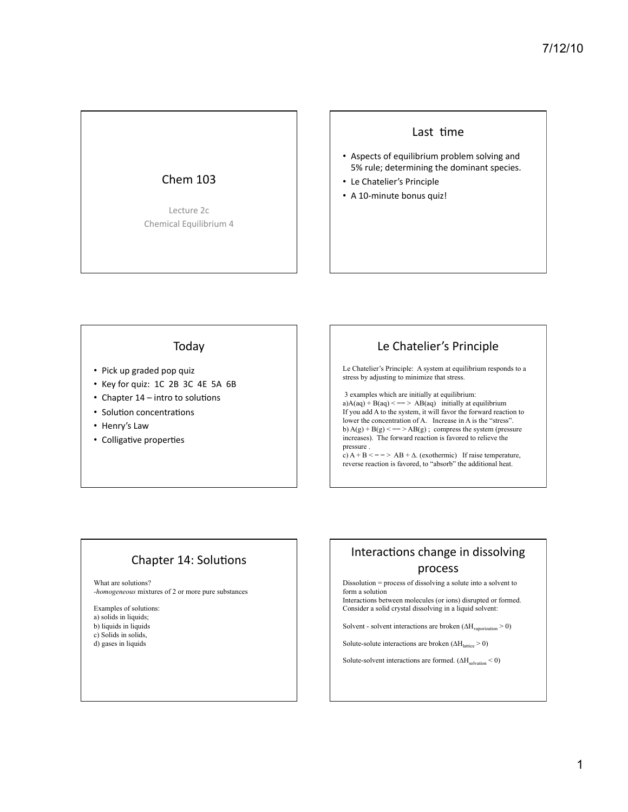### Chem 103

Lecture 2c Chemical Equilibrium 4

#### Last time

- Aspects of equilibrium problem solving and 5% rule; determining the dominant species.
- Le Chatelier's Principle
- A 10-minute bonus quiz!

#### Today

- Pick up graded pop quiz
- Key for quiz: 1C 2B 3C 4E 5A 6B
- Chapter  $14$  intro to solutions
- Solution concentrations
- Henry's Law
- Colligative properties

# Le Chatelier's Principle

Le Chatelier's Principle: A system at equilibrium responds to a stress by adjusting to minimize that stress.

 3 examples which are initially at equilibrium: a)A(aq) + B(aq) < =  $>$  AB(aq) initially at equilibrium If you add A to the system, it will favor the forward reaction to lower the concentration of A. Increase in A is the "stress". b)  $A(g) + B(g) \leq z = \geq AB(g)$ ; compress the system (pressure increases). The forward reaction is favored to relieve the pressure .

c)  $A + B \leq x = 1$  A  $B + \Delta$ . (exothermic) If raise temperature, reverse reaction is favored, to "absorb" the additional heat.

# Chapter 14: Solutions

What are solutions?

*-homogeneous* mixtures of 2 or more pure substances

Examples of solutions: a) solids in liquids; b) liquids in liquids

- c) Solids in solids,
- d) gases in liquids

# Interactions change in dissolving process

Dissolution = process of dissolving a solute into a solvent to form a solution

Interactions between molecules (or ions) disrupted or formed. Consider a solid crystal dissolving in a liquid solvent:

Solvent - solvent interactions are broken  $(\Delta H_{vaporization} > 0)$ 

Solute-solute interactions are broken  $(\Delta H_{\text{lattice}} > 0)$ 

Solute-solvent interactions are formed.  $(AH_{\text{solvation}} < 0)$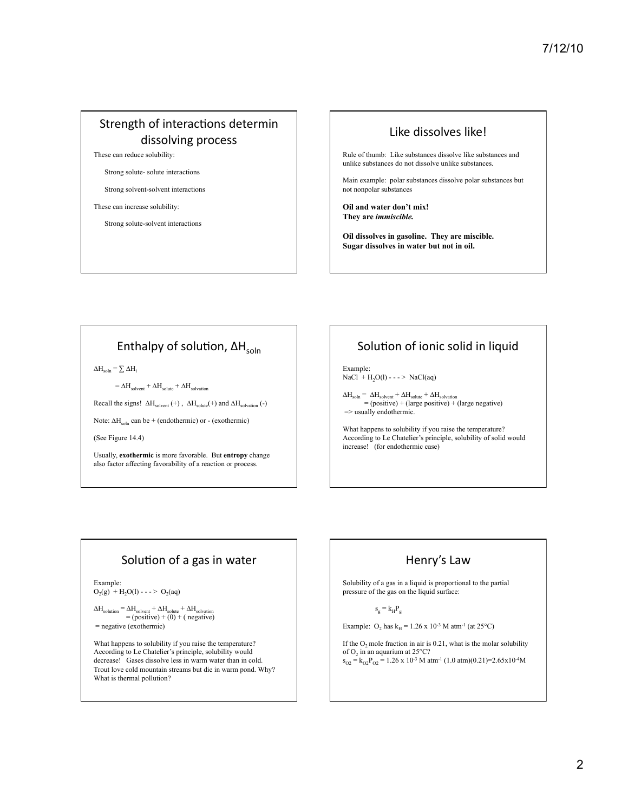# Strength of interactions determin dissolving process

These can reduce solubility:

Strong solute- solute interactions

Strong solvent-solvent interactions

#### These can increase solubility:

Strong solute-solvent interactions

#### Like dissolves like!

Rule of thumb: Like substances dissolve like substances and unlike substances do not dissolve unlike substances.

Main example: polar substances dissolve polar substances but not nonpolar substances

**Oil and water don't mix! They are** *immiscible.*

**Oil dissolves in gasoline. They are miscible. Sugar dissolves in water but not in oil.**

### Enthalpy of solution,  $\Delta H_{\text{coh}}$

 $\Delta H_{\text{soln}} = \sum \Delta H_i$ 

 $=\Delta H_{\text{solvent}} + \Delta H_{\text{solvation}} + \Delta H_{\text{solvation}}$ 

Recall the signs!  $\Delta H_{\text{solvent}}$  (+),  $\Delta H_{\text{solvate}}$  (+) and  $\Delta H_{\text{solvation}}$  (-)

Note:  $\Delta H_{\text{soln}}$  can be + (endothermic) or - (exothermic)

(See Figure 14.4)

Usually, **exothermic** is more favorable. But **entropy** change also factor affecting favorability of a reaction or process.

## Solution of ionic solid in liquid

Example:  $NaCl + H<sub>2</sub>O(l) - - - > NaCl(aq)$ 

 $\Delta H_{\text{soln}} = \Delta H_{\text{solvent}} + \Delta H_{\text{solvation}}$ <br>= (positive) + (large positive) + (large negative) => usually endothermic.

What happens to solubility if you raise the temperature? According to Le Chatelier's principle, solubility of solid would increase! (for endothermic case)

#### Solution of a gas in water

Example:  $O_2(g)$  + H<sub>2</sub>O(l) - - - > O<sub>2</sub>(aq)

 $\Delta H_{\text{solution}} = \Delta H_{\text{solvent}} + \Delta H_{\text{solute}} + \Delta H_{\text{solvation}}$  $=$  (positive)  $+$  (0)  $+$  ( negative)  $=$  negative (exothermic)

What happens to solubility if you raise the temperature? According to Le Chatelier's principle, solubility would decrease! Gases dissolve less in warm water than in cold. Trout love cold mountain streams but die in warm pond. Why? What is thermal pollution?

### Henry's Law

Solubility of a gas in a liquid is proportional to the partial pressure of the gas on the liquid surface:

$$
\mathbf{s}_{\mathrm{g}} = \mathbf{k}_{\mathrm{H}} \mathbf{P}_{\mathrm{g}}
$$

Example:  $O_2$  has  $k_H = 1.26 \times 10^{-3}$  M atm<sup>-1</sup> (at 25°C)

If the  $O_2$  mole fraction in air is 0.21, what is the molar solubility of  $O_2$  in an aquarium at 25°C?  $s_{O2} = k_{O2}P_{O2} = 1.26 \times 10^{-3}$  M atm<sup>-1</sup> (1.0 atm)(0.21)=2.65x10<sup>-4</sup>M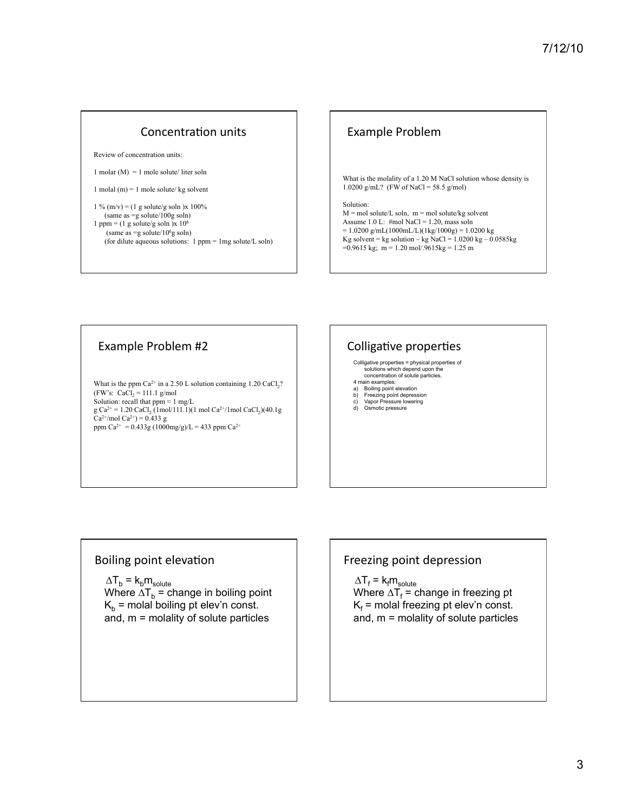### Concentration units

Review of concentration units:

1 molar (M) = 1 mole solute/ liter soln

1 molal (m) = 1 mole solute/ kg solvent

```
1 % (m/v) = (1 g solute/g soln )x 100%
   (same as =g solute/100g soln) 
1 ppm = (1 g solute/g soln )x 10<sup>6</sup>
     (same as =g solute/106g soln) 
   (for dilute aqueous solutions: 1 ppm = 1mg solute/L soln)
```
### Example Problem

What is the molality of a 1.20 M NaCl solution whose density is 1.0200 g/mL? (FW of NaCl = 58.5 g/mol)

Solution:

 $M =$  mol solute/L soln,  $m =$  mol solute/kg solvent Assume 1.0 L:  $\#mol$  NaCl = 1.20, mass soln  $= 1.0200 \text{ g/mL} (1000 \text{mL/L}) (1 \text{ kg} / 1000 \text{ g}) = 1.0200 \text{ kg}$ Kg solvent = kg solution – kg NaCl =  $1.0200 \text{ kg} - 0.0585 \text{ kg}$  $=0.9615$  kg; m = 1.20 mol/.9615kg = 1.25 m

### Example Problem #2

What is the ppm  $Ca^{2+}$  in a 2.50 L solution containing 1.20  $CaCl<sub>2</sub>$ ? (FW's:  $CaCl<sub>2</sub> = 111.1$  g/mol Solution: recall that ppm  $\approx 1$  mg/L  $g Ca^{2+} = 1.20 CaCl<sub>2</sub> (1 mol/111.1)(1 mol Ca<sup>2+/</sup>1 mol CaCl<sub>2</sub>)(40.1g)$  $Ca^{2+}/mol Ca^{2+} = 0.433 g$ ppm Ca<sup>2+</sup> = 0.433g (1000mg/g)/L = 433 ppm Ca<sup>2+</sup>

## Colligative properties

Colligative properties = physical properties of solutions which depend upon the concentration of solute particles.

- 4 main examples:
- a) Boiling point elevation b) Freezing point depression
- 
- c) Vapor Pressure lowering d) Osmotic pressure

### Boiling point elevation

 $\Delta T_{b}$  =  $k_{b}m_{solute}$ 

Where  $\Delta T_b$  = change in boiling point  $K_b$  = molal boiling pt elev'n const. and, m = molality of solute particles

## Freezing point depression

 $\Delta {\sf T}_{\sf f}$  =  ${\sf k}_{\sf f} {\sf m}_{\sf solve}$ 

Where  $\Delta T_{\text{f}}$  = change in freezing pt  $\mathsf{K}_{\mathsf{f}}$  = molal freezing pt elev'n const. and, m = molality of solute particles